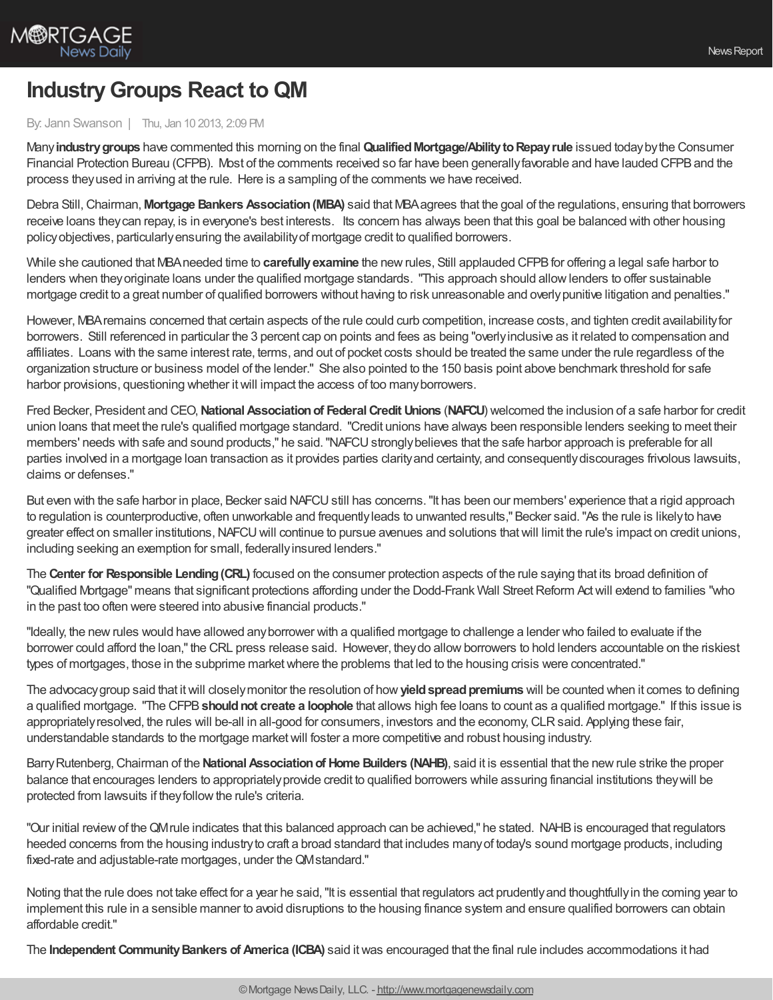## **IndustryGroups React to QM**

## By: Jann Swanson | Thu, Jan 10 2013, 2:09 PM

Many**industrygroups** have commented this morning on the final **QualifiedMortgage/AbilitytoRepayrule** issued todaybythe Consumer Financial Protection Bureau (CFPB). Most of the comments received so far have been generallyfavorable and have lauded CFPBand the process theyused in arriving at the rule. Here is a sampling of the comments we have received.

Debra Still,Chairman, **Mortgage Bankers Association(MBA)** said that MBAagrees that the goal of the regulations, ensuring that borrowers receive loans theycan repay, is in everyone's best interests. Its concern has always been that this goal be balanced with other housing policyobjectives, particularlyensuring the availabilityof mortgage credit to qualified borrowers.

While she cautioned that MBA needed time to **carefully examine** the new rules, Still applauded CFPB for offering a legal safe harbor to lenders when theyoriginate loans under the qualified mortgage standards. "This approach should allowlenders to offer sustainable mortgage credit to a great number of qualified borrowers without having to risk unreasonable and overlypunitive litigation and penalties."

However, MBAremains concerned that certain aspects of the rule could curb competition, increase costs, and tighten credit availabilityfor borrowers. Still referenced in particular the 3 percent cap on points and fees as being "overlyinclusive as it related to compensation and affiliates. Loans with the same interest rate, terms, and out of pocket costs should be treated the same under the rule regardless of the organization structure or business model of the lender." She also pointed to the 150 basis point above benchmark threshold for safe harbor provisions, questioning whether it will impact the access of too many borrowers.

Fred Becker, President and CEO,**NationalAssociationof FederalCredit Unions** (**NAFCU**) welcomed the inclusion of a safe harbor for credit union loans that meet the rule's qualified mortgage standard. "Credit unions have always been responsible lenders seeking to meet their members' needs with safe and sound products," he said. "NAFCU strongly believes that the safe harbor approach is preferable for all parties involved in a mortgage loan transaction as it provides parties clarityand certainty, and consequentlydiscourages frivolous lawsuits, claims or defenses."

But even with the safe harbor in place, Becker said NAFCU still has concerns. "It has been our members' experience that a rigid approach to regulation is counterproductive, often unworkable and frequentlyleads to unwanted results," Becker said."As the rule is likelyto have greater effect on smaller institutions,NAFCUwill continue to pursue avenues and solutions thatwill limit the rule's impact on credit unions, including seeking an exemption for small, federallyinsured lenders."

The **Center for Responsible Lending(CRL)** focused on the consumer protection aspects of the rule saying that its broad definition of "Qualified Mortgage" means that significant protections affording under the Dodd-Frank Wall Street Reform Act will extend to families "who in the past too often were steered into abusive financial products."

"Ideally, the newrules would have allowed anyborrower with a qualified mortgage to challenge a lender who failed to evaluate if the borrower could afford the loan," the CRL press release said. However, they do allow borrowers to hold lenders accountable on the riskiest types of mortgages, those in the subprime market where the problems that led to the housing crisis were concentrated."

The advocacy group said that it will closely monitor the resolution of how **yield spread premiums** will be counted when it comes to defining a qualified mortgage. "The CFPB**shouldnot create a loophole** that allows high fee loans to count as a qualified mortgage." If this issue is appropriately resolved, the rules will be-all in all-good for consumers, investors and the economy, CLR said. Applying these fair, understandable standards to the mortgage marketwill foster a more competitive and robust housing industry.

Barry Rutenberg, Chairman of the **National Association of Home Builders (NAHB)**, said it is essential that the new rule strike the proper balance that encourages lenders to appropriatelyprovide credit to qualified borrowers while assuring financial institutions theywill be protected from lawsuits if theyfollowthe rule's criteria.

"Our initial reviewof theQMrule indicates that this balanced approach can be achieved," he stated. NAHBis encouraged that regulators heeded concerns from the housing industryto craft a broad standard that includes manyof today's sound mortgage products, including fixed-rate and adjustable-rate mortgages, under the QMstandard."

Noting that the rule does not take effect for a year he said, "It is essential that regulators act prudently and thoughtfully in the coming year to implement this rule in a sensible manner to avoid disruptions to the housing finance system and ensure qualified borrowers can obtain affordable credit."

The **Independent CommunityBankers of America (ICBA)** said itwas encouraged that the final rule includes accommodations it had